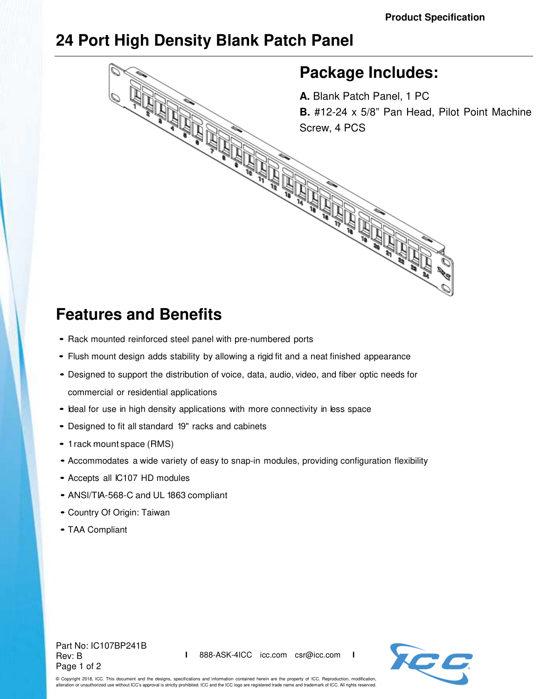## **24 Port High Density Blank Patch Panel**



## **Features and Benefits**

- Rack mounted reinforced steel panel with pre-numbered ports
- Flush mount design adds stability by allowing a rigid fit and a neat finished appearance
- Designed to support the distribution of voice, data, audio, video, and fiber optic needs for commercial or residential applications
- Ideal for use in high density applications with more connectivity in less space
- Designed to fit all standard 19" racks and cabinets
- 1 rack mount space (RMS)
- Accommodates a wide variety of easy to snap-in modules, providing configuration flexibility
- Accepts all IC107 HD modules
- ANSl/TIA-568-C and UL 1863 compliant
- Country Of Origin: Taiwan
- TAA Compliant